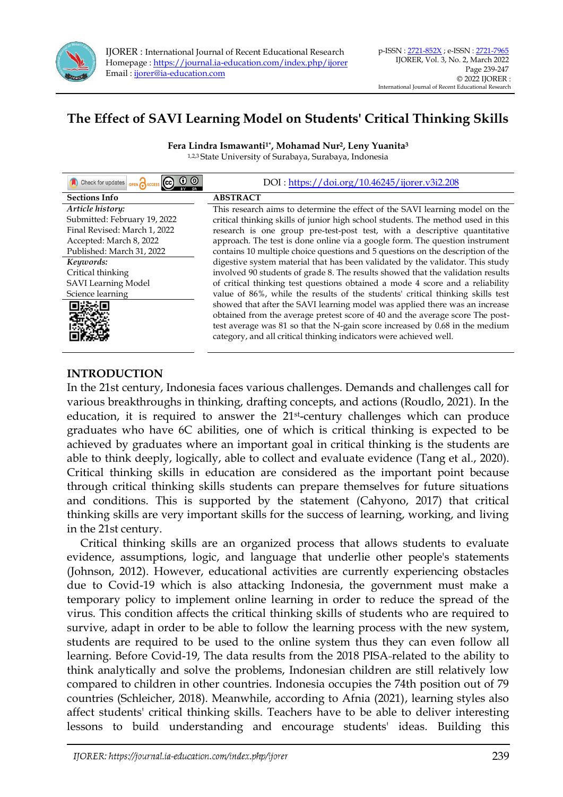

# **The Effect of SAVI Learning Model on Students' Critical Thinking Skills**

**Fera Lindra Ismawanti1\* , Mohamad Nur<sup>2</sup> , Leny Yuanita<sup>3</sup>** 1,2,3 State University of Surabaya, Surabaya, Indonesia

| Check for updates<br>OPEN CACCESS CC | DOI: https://doi.org/10.46245/ijorer.v3i2.208                                    |
|--------------------------------------|----------------------------------------------------------------------------------|
| <b>Sections Info</b>                 | <b>ABSTRACT</b>                                                                  |
| Article history:                     | This research aims to determine the effect of the SAVI learning model on the     |
| Submitted: February 19, 2022         | critical thinking skills of junior high school students. The method used in this |
| Final Revised: March 1, 2022         | research is one group pre-test-post test, with a descriptive quantitative        |
| Accepted: March 8, 2022              | approach. The test is done online via a google form. The question instrument     |
| Published: March 31, 2022            | contains 10 multiple choice questions and 5 questions on the description of the  |
| Keywords:                            | digestive system material that has been validated by the validator. This study   |
| Critical thinking                    | involved 90 students of grade 8. The results showed that the validation results  |
| <b>SAVI</b> Learning Model           | of critical thinking test questions obtained a mode 4 score and a reliability    |
| Science learning                     | value of 86%, while the results of the students' critical thinking skills test   |
|                                      | showed that after the SAVI learning model was applied there was an increase      |
|                                      | obtained from the average pretest score of 40 and the average score The post-    |
|                                      | test average was 81 so that the N-gain score increased by 0.68 in the medium     |
|                                      | category, and all critical thinking indicators were achieved well.               |
|                                      |                                                                                  |

# **INTRODUCTION**

In the 21st century, Indonesia faces various challenges. Demands and challenges call for various breakthroughs in thinking, drafting concepts, and actions (Roudlo, 2021). In the education, it is required to answer the 21st-century challenges which can produce graduates who have 6C abilities, one of which is critical thinking is expected to be achieved by graduates where an important goal in critical thinking is the students are able to think deeply, logically, able to collect and evaluate evidence (Tang et al., 2020). Critical thinking skills in education are considered as the important point because through critical thinking skills students can prepare themselves for future situations and conditions. This is supported by the statement (Cahyono, 2017) that critical thinking skills are very important skills for the success of learning, working, and living in the 21st century.

Critical thinking skills are an organized process that allows students to evaluate evidence, assumptions, logic, and language that underlie other people's statements (Johnson, 2012). However, educational activities are currently experiencing obstacles due to Covid-19 which is also attacking Indonesia, the government must make a temporary policy to implement online learning in order to reduce the spread of the virus. This condition affects the critical thinking skills of students who are required to survive, adapt in order to be able to follow the learning process with the new system, students are required to be used to the online system thus they can even follow all learning. Before Covid-19, The data results from the 2018 PISA related to the ability to think analytically and solve the problems, Indonesian children are still relatively low compared to children in other countries. Indonesia occupies the 74th position out of 79 countries (Schleicher, 2018). Meanwhile, according to Afnia (2021), learning styles also affect students' critical thinking skills. Teachers have to be able to deliver interesting lessons to build understanding and encourage students' ideas. Building this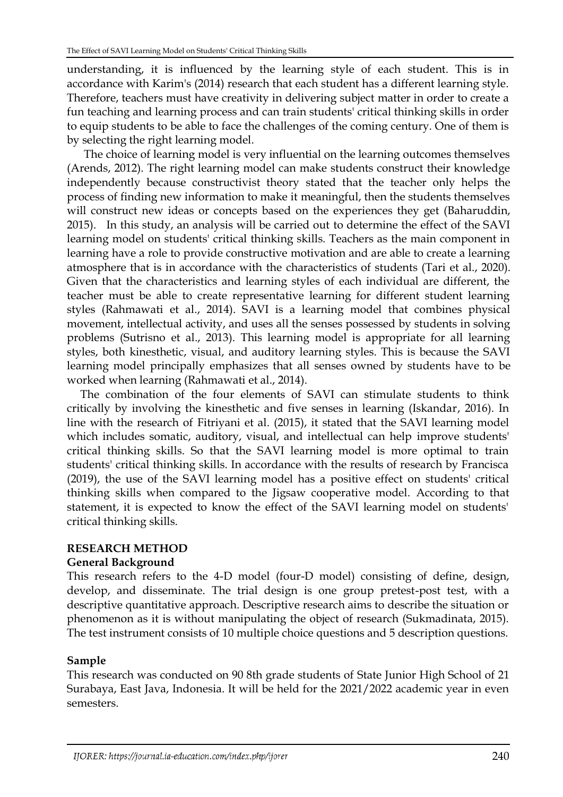understanding, it is influenced by the learning style of each student. This is in accordance with Karim's (2014) research that each student has a different learning style. Therefore, teachers must have creativity in delivering subject matter in order to create a fun teaching and learning process and can train students' critical thinking skills in order to equip students to be able to face the challenges of the coming century. One of them is by selecting the right learning model.

The choice of learning model is very influential on the learning outcomes themselves (Arends, 2012). The right learning model can make students construct their knowledge independently because constructivist theory stated that the teacher only helps the process of finding new information to make it meaningful, then the students themselves will construct new ideas or concepts based on the experiences they get (Baharuddin, 2015). In this study, an analysis will be carried out to determine the effect of the SAVI learning model on students' critical thinking skills. Teachers as the main component in learning have a role to provide constructive motivation and are able to create a learning atmosphere that is in accordance with the characteristics of students (Tari et al., 2020). Given that the characteristics and learning styles of each individual are different, the teacher must be able to create representative learning for different student learning styles (Rahmawati et al., 2014). SAVI is a learning model that combines physical movement, intellectual activity, and uses all the senses possessed by students in solving problems (Sutrisno et al., 2013). This learning model is appropriate for all learning styles, both kinesthetic, visual, and auditory learning styles. This is because the SAVI learning model principally emphasizes that all senses owned by students have to be worked when learning (Rahmawati et al., 2014).

The combination of the four elements of SAVI can stimulate students to think critically by involving the kinesthetic and five senses in learning (Iskandar, 2016). In line with the research of Fitriyani et al. (2015), it stated that the SAVI learning model which includes somatic, auditory, visual, and intellectual can help improve students' critical thinking skills. So that the SAVI learning model is more optimal to train students' critical thinking skills. In accordance with the results of research by Francisca (2019), the use of the SAVI learning model has a positive effect on students' critical thinking skills when compared to the Jigsaw cooperative model. According to that statement, it is expected to know the effect of the SAVI learning model on students' critical thinking skills.

# **RESEARCH METHOD**

# **General Background**

This research refers to the 4-D model (four-D model) consisting of define, design, develop, and disseminate. The trial design is one group pretest-post test, with a descriptive quantitative approach. Descriptive research aims to describe the situation or phenomenon as it is without manipulating the object of research (Sukmadinata, 2015). The test instrument consists of 10 multiple choice questions and 5 description questions.

# **Sample**

This research was conducted on 90 8th grade students of State Junior High School of 21 Surabaya, East Java, Indonesia. It will be held for the 2021/2022 academic year in even semesters.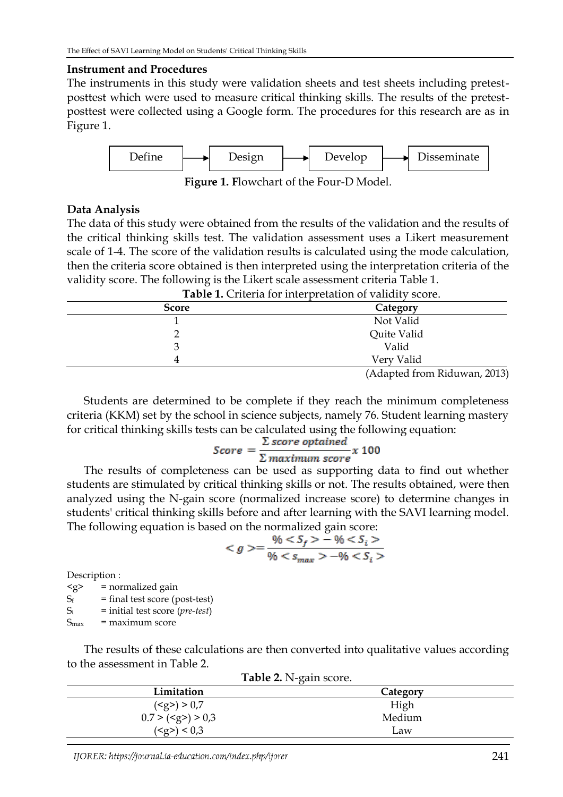## **Instrument and Procedures**

The instruments in this study were validation sheets and test sheets including pretestposttest which were used to measure critical thinking skills. The results of the pretestposttest were collected using a Google form. The procedures for this research are as in Figure 1.



**Figure 1. F**lowchart of the Four-D Model.

## **Data Analysis**

The data of this study were obtained from the results of the validation and the results of the critical thinking skills test. The validation assessment uses a Likert measurement scale of 1-4. The score of the validation results is calculated using the mode calculation, then the criteria score obtained is then interpreted using the interpretation criteria of the validity score. The following is the Likert scale assessment criteria Table 1.

|              | <b>Table 1.</b> Chiena for interpretation or validity score. |  |  |
|--------------|--------------------------------------------------------------|--|--|
| <b>Score</b> | Category                                                     |  |  |
|              | Not Valid                                                    |  |  |
|              | Quite Valid                                                  |  |  |
|              | Valid                                                        |  |  |
| 4            | Very Valid                                                   |  |  |
|              | $(A$ dontod from Diduwon $2012$                              |  |  |

**Table 1.** Criteria for interpretation of validity score.

(Adapted from Riduwan, 2013)

Students are determined to be complete if they reach the minimum completeness criteria (KKM) set by the school in science subjects, namely 76. Student learning mastery for critical thinking skills tests can be calculated using the following equation:

$$
Score = \frac{\sum score\;optained}{\sum maximum\;score} \times 100
$$

The results of completeness can be used as supporting data to find out whether students are stimulated by critical thinking skills or not. The results obtained, were then analyzed using the N-gain score (normalized increase score) to determine changes in students' critical thinking skills before and after learning with the SAVI learning model. The following equation is based on the normalized gain score:

$$
=\frac{\%-\%}{\%-\%}
$$

Description :

 $\langle g \rangle$  = normalized gain

 $S_f$  = final test score (post-test)

S<sup>i</sup> = initial test score (*pre-test*)

 $S_{\text{max}}$  = maximum score

The results of these calculations are then converted into qualitative values according to the assessment in Table 2.

| <b>Table 2.</b> IN-gail Score. |          |  |  |
|--------------------------------|----------|--|--|
| Limitation                     | Category |  |  |
| ( <b>g</b> >) > 0.7            | High     |  |  |
| $0.7 > \text{(}>} 0.3$         | Medium   |  |  |
| ( <g>g) &lt; 0.3</g>           | Law      |  |  |

**Table 2.** N-gain score.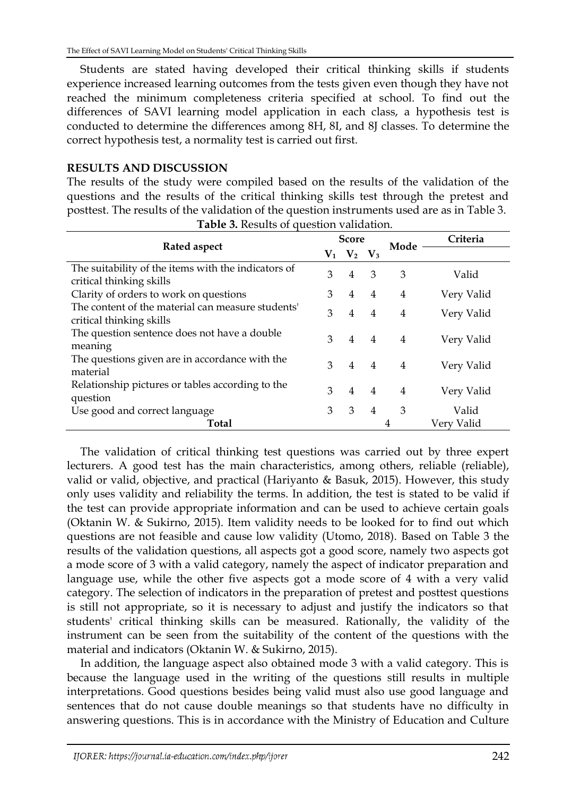Students are stated having developed their critical thinking skills if students experience increased learning outcomes from the tests given even though they have not reached the minimum completeness criteria specified at school. To find out the differences of SAVI learning model application in each class, a hypothesis test is conducted to determine the differences among 8H, 8I, and 8J classes. To determine the correct hypothesis test, a normality test is carried out first.

## **RESULTS AND DISCUSSION**

The results of the study were compiled based on the results of the validation of the questions and the results of the critical thinking skills test through the pretest and posttest. The results of the validation of the question instruments used are as in Table 3.

| Rated aspect                                                                    |   | <b>Score</b> |                |                | Criteria   |
|---------------------------------------------------------------------------------|---|--------------|----------------|----------------|------------|
|                                                                                 |   | $V_1$ $V_2$  | $\mathbf{V}_3$ | Mode           |            |
| The suitability of the items with the indicators of<br>critical thinking skills | 3 | 4            | 3              | 3              | Valid      |
| Clarity of orders to work on questions                                          | 3 | 4            | $\overline{4}$ | $\overline{4}$ | Very Valid |
| The content of the material can measure students'<br>critical thinking skills   | 3 | 4            | $\overline{4}$ | 4              | Very Valid |
| The question sentence does not have a double<br>meaning                         | 3 | 4            | 4              | 4              | Very Valid |
| The questions given are in accordance with the<br>material                      | 3 | 4            | $\overline{4}$ | 4              | Very Valid |
| Relationship pictures or tables according to the<br>question                    | 3 | 4            | $\overline{4}$ | $\overline{4}$ | Very Valid |
| Use good and correct language                                                   | 3 | 3            | 4              | 3              | Valid      |
| Total                                                                           |   |              |                | 4              | Very Valid |

**Table 3.** Results of question validation.

The validation of critical thinking test questions was carried out by three expert lecturers. A good test has the main characteristics, among others, reliable (reliable), valid or valid, objective, and practical (Hariyanto & Basuk, 2015). However, this study only uses validity and reliability the terms. In addition, the test is stated to be valid if the test can provide appropriate information and can be used to achieve certain goals (Oktanin W. & Sukirno, 2015). Item validity needs to be looked for to find out which questions are not feasible and cause low validity (Utomo, 2018). Based on Table 3 the results of the validation questions, all aspects got a good score, namely two aspects got a mode score of 3 with a valid category, namely the aspect of indicator preparation and language use, while the other five aspects got a mode score of 4 with a very valid category. The selection of indicators in the preparation of pretest and posttest questions is still not appropriate, so it is necessary to adjust and justify the indicators so that students' critical thinking skills can be measured. Rationally, the validity of the instrument can be seen from the suitability of the content of the questions with the material and indicators (Oktanin W. & Sukirno, 2015).

In addition, the language aspect also obtained mode 3 with a valid category. This is because the language used in the writing of the questions still results in multiple interpretations. Good questions besides being valid must also use good language and sentences that do not cause double meanings so that students have no difficulty in answering questions. This is in accordance with the Ministry of Education and Culture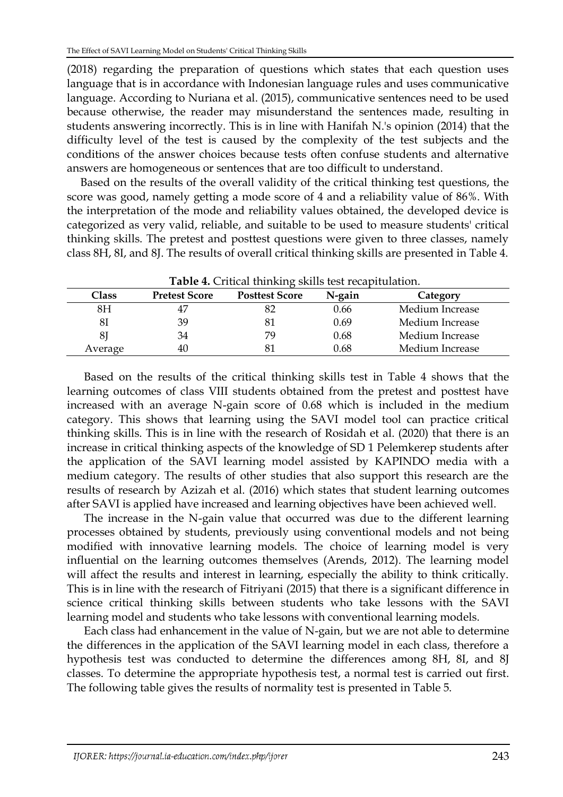(2018) regarding the preparation of questions which states that each question uses language that is in accordance with Indonesian language rules and uses communicative language. According to Nuriana et al. (2015), communicative sentences need to be used because otherwise, the reader may misunderstand the sentences made, resulting in students answering incorrectly. This is in line with Hanifah N.'s opinion (2014) that the difficulty level of the test is caused by the complexity of the test subjects and the conditions of the answer choices because tests often confuse students and alternative answers are homogeneous or sentences that are too difficult to understand.

Based on the results of the overall validity of the critical thinking test questions, the score was good, namely getting a mode score of 4 and a reliability value of 86%. With the interpretation of the mode and reliability values obtained, the developed device is categorized as very valid, reliable, and suitable to be used to measure students' critical thinking skills. The pretest and posttest questions were given to three classes, namely class 8H, 8I, and 8J. The results of overall critical thinking skills are presented in Table 4.

| <b>Table 4.</b> Critical thinking skills test recapitulation. |                      |                       |        |                 |  |
|---------------------------------------------------------------|----------------------|-----------------------|--------|-----------------|--|
| Class                                                         | <b>Pretest Score</b> | <b>Posttest Score</b> | N-gain | Category        |  |
| 8Η                                                            |                      |                       | 0.66   | Medium Increase |  |
| 81                                                            | 39                   | 81                    | 0.69   | Medium Increase |  |
| 8                                                             | 34                   | 79                    | 0.68   | Medium Increase |  |
| Average                                                       | 40                   | 81                    | 0.68   | Medium Increase |  |

|  |  | Table 4. Critical thinking skills test recapitulation. |
|--|--|--------------------------------------------------------|
|--|--|--------------------------------------------------------|

Based on the results of the critical thinking skills test in Table 4 shows that the learning outcomes of class VIII students obtained from the pretest and posttest have increased with an average N-gain score of 0.68 which is included in the medium category. This shows that learning using the SAVI model tool can practice critical thinking skills. This is in line with the research of Rosidah et al. (2020) that there is an increase in critical thinking aspects of the knowledge of SD 1 Pelemkerep students after the application of the SAVI learning model assisted by KAPINDO media with a medium category. The results of other studies that also support this research are the results of research by Azizah et al. (2016) which states that student learning outcomes after SAVI is applied have increased and learning objectives have been achieved well.

The increase in the N-gain value that occurred was due to the different learning processes obtained by students, previously using conventional models and not being modified with innovative learning models. The choice of learning model is very influential on the learning outcomes themselves (Arends, 2012). The learning model will affect the results and interest in learning, especially the ability to think critically. This is in line with the research of Fitriyani (2015) that there is a significant difference in science critical thinking skills between students who take lessons with the SAVI learning model and students who take lessons with conventional learning models.

Each class had enhancement in the value of N-gain, but we are not able to determine the differences in the application of the SAVI learning model in each class, therefore a hypothesis test was conducted to determine the differences among 8H, 8I, and 8J classes. To determine the appropriate hypothesis test, a normal test is carried out first. The following table gives the results of normality test is presented in Table 5.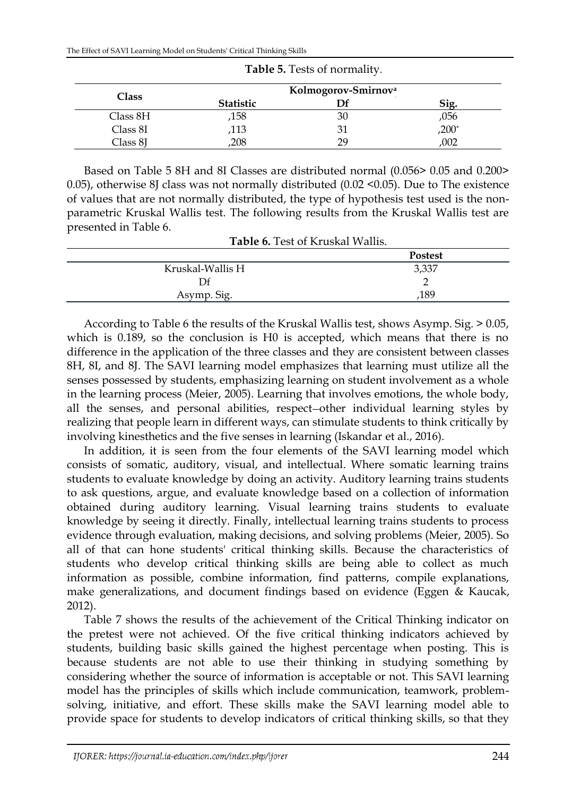| Class    |                  | Kolmogorov-Smirnov <sup>a</sup> |         |
|----------|------------------|---------------------------------|---------|
|          | <b>Statistic</b> |                                 | 512     |
| Class 8H | ,158             |                                 | ,056    |
| Class 8I | ,113             |                                 | $,200*$ |
| Class 8J | 208              | າດ                              | .002    |

**Table 5.** Tests of normality.

Based on Table 5 8H and 8I Classes are distributed normal (0.056> 0.05 and 0.200> 0.05), otherwise 8J class was not normally distributed (0.02 <0.05). Due to The existence of values that are not normally distributed, the type of hypothesis test used is the nonparametric Kruskal Wallis test. The following results from the Kruskal Wallis test are presented in Table 6.

**Table 6.** Test of Kruskal Wallis.

| <b>Postest</b> |
|----------------|
| 3,337          |
| ∸              |
| ,189           |
|                |

According to Table 6 the results of the Kruskal Wallis test, shows Asymp. Sig. > 0.05, which is 0.189, so the conclusion is H0 is accepted, which means that there is no difference in the application of the three classes and they are consistent between classes 8H, 8I, and 8J. The SAVI learning model emphasizes that learning must utilize all the senses possessed by students, emphasizing learning on student involvement as a whole in the learning process (Meier, 2005). Learning that involves emotions, the whole body, all the senses, and personal abilities, respect other individual learning styles by realizing that people learn in different ways, can stimulate students to think critically by involving kinesthetics and the five senses in learning (Iskandar et al., 2016).

In addition, it is seen from the four elements of the SAVI learning model which consists of somatic, auditory, visual, and intellectual. Where somatic learning trains students to evaluate knowledge by doing an activity. Auditory learning trains students to ask questions, argue, and evaluate knowledge based on a collection of information obtained during auditory learning. Visual learning trains students to evaluate knowledge by seeing it directly. Finally, intellectual learning trains students to process evidence through evaluation, making decisions, and solving problems (Meier, 2005). So all of that can hone students' critical thinking skills. Because the characteristics of students who develop critical thinking skills are being able to collect as much information as possible, combine information, find patterns, compile explanations, make generalizations, and document findings based on evidence (Eggen & Kaucak, 2012).

Table 7 shows the results of the achievement of the Critical Thinking indicator on the pretest were not achieved. Of the five critical thinking indicators achieved by students, building basic skills gained the highest percentage when posting. This is because students are not able to use their thinking in studying something by considering whether the source of information is acceptable or not. This SAVI learning model has the principles of skills which include communication, teamwork, problemsolving, initiative, and effort. These skills make the SAVI learning model able to provide space for students to develop indicators of critical thinking skills, so that they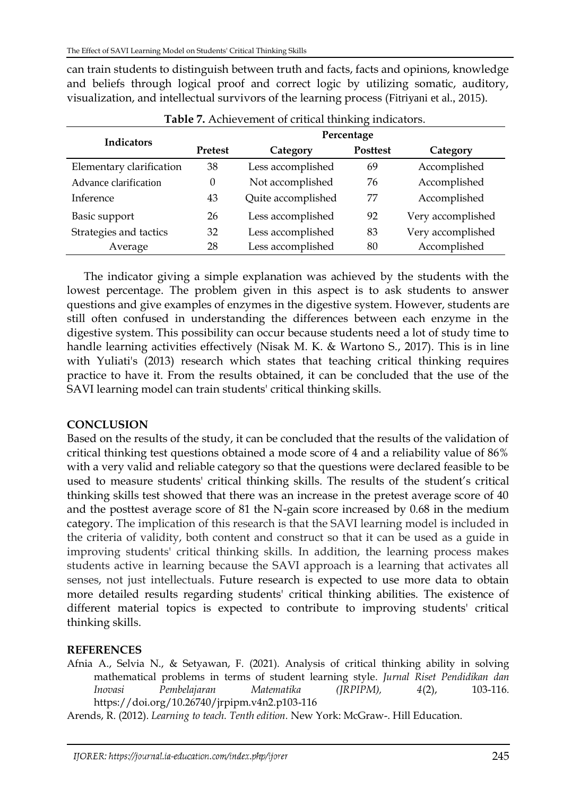can train students to distinguish between truth and facts, facts and opinions, knowledge and beliefs through logical proof and correct logic by utilizing somatic, auditory, visualization, and intellectual survivors of the learning process (Fitriyani et al., 2015).

| <b>Indicators</b>        | Percentage     |                    |                 |                   |  |
|--------------------------|----------------|--------------------|-----------------|-------------------|--|
|                          | <b>Pretest</b> | Category           | <b>Posttest</b> | Category          |  |
| Elementary clarification | 38             | Less accomplished  | 69              | Accomplished      |  |
| Advance clarification    | $\Omega$       | Not accomplished   | 76              | Accomplished      |  |
| Inference                | 43             | Quite accomplished | 77              | Accomplished      |  |
| Basic support            | 26             | Less accomplished  | 92              | Very accomplished |  |
| Strategies and tactics   | 32             | Less accomplished  | 83              | Very accomplished |  |
| Average                  | 28             | Less accomplished  | 80              | Accomplished      |  |

**Table 7.** Achievement of critical thinking indicators.

The indicator giving a simple explanation was achieved by the students with the lowest percentage. The problem given in this aspect is to ask students to answer questions and give examples of enzymes in the digestive system. However, students are still often confused in understanding the differences between each enzyme in the digestive system. This possibility can occur because students need a lot of study time to handle learning activities effectively (Nisak M. K. & Wartono S., 2017). This is in line with Yuliati's (2013) research which states that teaching critical thinking requires practice to have it. From the results obtained, it can be concluded that the use of the SAVI learning model can train students' critical thinking skills.

## **CONCLUSION**

Based on the results of the study, it can be concluded that the results of the validation of critical thinking test questions obtained a mode score of 4 and a reliability value of 86% with a very valid and reliable category so that the questions were declared feasible to be used to measure students' critical thinking skills. The results of the student's critical thinking skills test showed that there was an increase in the pretest average score of 40 and the posttest average score of 81 the N-gain score increased by 0.68 in the medium category. The implication of this research is that the SAVI learning model is included in the criteria of validity, both content and construct so that it can be used as a guide in improving students' critical thinking skills. In addition, the learning process makes students active in learning because the SAVI approach is a learning that activates all senses, not just intellectuals. Future research is expected to use more data to obtain more detailed results regarding students' critical thinking abilities. The existence of different material topics is expected to contribute to improving students' critical thinking skills.

### **REFERENCES**

Afnia A., Selvia N., & Setyawan, F. (2021). Analysis of critical thinking ability in solving mathematical problems in terms of student learning style. *Jurnal Riset Pendidikan dan Inovasi Pembelajaran Matematika (JRPIPM), 4*(2), 103-116*.* <https://doi.org/10.26740/jrpipm.v4n2.p103-116>

Arends, R. (2012). *Learning to teach. Tenth edition.* New York: McGraw-. Hill Education.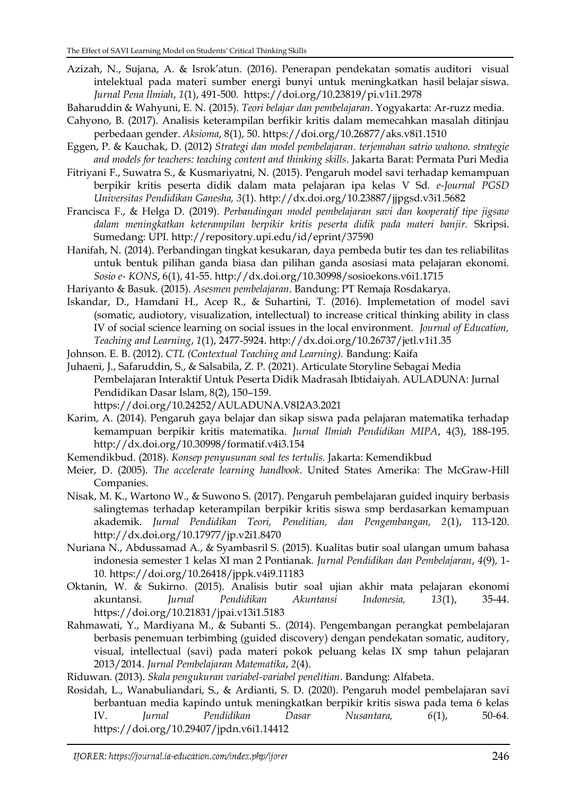Azizah, N., Sujana, A. & Isrok'atun. (2016). Penerapan pendekatan somatis auditori visual intelektual pada materi sumber energi bunyi untuk meningkatkan hasil belajar siswa. *Jurnal Pena Ilmiah*, *1*(1), 491-500*.* <https://doi.org/10.23819/pi.v1i1.2978>

Baharuddin & Wahyuni, E. N. (2015). *Teori belajar dan pembelajaran*. Yogyakarta: Ar-ruzz media.

- Cahyono, B. (2017). Analisis keterampilan berfikir kritis dalam memecahkan masalah ditinjau perbedaan gender. *Aksioma*, 8(1), 50[. https://doi.org/10.26877/aks.v8i1.1510](https://doi.org/10.26877/aks.v8i1.1510)
- Eggen, P. & Kauchak, D. (2012) *Strategi dan model pembelajaran. terjemahan satrio wahono. strategie and models for teachers: teaching content and thinking skills*. Jakarta Barat: Permata Puri Media
- Fitriyani F., Suwatra S., & Kusmariyatni, N. (2015). Pengaruh model savi terhadap kemampuan berpikir kritis peserta didik dalam mata pelajaran ipa kelas V Sd*. e-Journal PGSD Universitas Pendidikan Ganesha, 3*(1)*.* <http://dx.doi.org/10.23887/jjpgsd.v3i1.5682>
- Francisca F., & Helga D. (2019). *Perbandingan model pembelajaran savi dan kooperatif tipe jigsaw dalam meningkatkan keterampilan berpikir kritis peserta didik pada materi banjir.* Skripsi. Sumedang: UPI.<http://repository.upi.edu/id/eprint/37590>
- Hanifah, N. (2014). Perbandingan tingkat kesukaran, daya pembeda butir tes dan tes reliabilitas untuk bentuk pilihan ganda biasa dan pilihan ganda asosiasi mata pelajaran ekonomi. *Sosio e- KONS*, 6(1), 41-55.<http://dx.doi.org/10.30998/sosioekons.v6i1.1715>
- Hariyanto & Basuk. (2015). *Asesmen pembelajaran*. Bandung: PT Remaja Rosdakarya.
- Iskandar, D., Hamdani H., Acep R., & Suhartini, T. (2016). Implemetation of model savi (somatic, audiotory, visualization, intellectual) to increase critical thinking ability in class IV of social science learning on social issues in the local environment. *Journal of Education, Teaching and Learning*, *1*(1), 2477-5924. [http://dx.doi.org/10.26737/jetl.v1i1.35](https://dx.doi.org/10.26737/jetl.v1i1.35)
- Johnson. E. B. (2012). *CTL (Contextual Teaching and Learning).* Bandung: Kaifa
- Juhaeni, J., Safaruddin, S., & Salsabila, Z. P. (2021). Articulate Storyline Sebagai Media Pembelajaran Interaktif Untuk Peserta Didik Madrasah Ibtidaiyah. AULADUNA: Jurnal Pendidikan Dasar Islam, 8(2), 150–159. https://doi.org/10.24252/AULADUNA.V8I2A3.2021
- Karim, A. (2014). Pengaruh gaya belajar dan sikap siswa pada pelajaran matematika terhadap kemampuan berpikir kritis matematika. *Jurnal Ilmiah Pendidikan MIPA*, 4(3), 188-195. <http://dx.doi.org/10.30998/formatif.v4i3.154>
- Kemendikbud. (2018). *Konsep penyusunan soal tes tertulis.* Jakarta: Kemendikbud
- Meier, D. (2005). *The accelerate learning handbook*. United States Amerika: The McGraw-Hill Companies.
- Nisak, M. K., Wartono W., & Suwono S. (2017). Pengaruh pembelajaran guided inquiry berbasis salingtemas terhadap keterampilan berpikir kritis siswa smp berdasarkan kemampuan akademik. *Jurnal Pendidikan Teori, Penelitian, dan Pengembangan, 2*(1), 113-120. <http://dx.doi.org/10.17977/jp.v2i1.8470>
- Nuriana N., Abdussamad A., & Syambasril S. (2015). Kualitas butir soal ulangan umum bahasa indonesia semester 1 kelas XI man 2 Pontianak. *Jurnal Pendidikan dan Pembelajaran*, *4*(9)*,* 1- 10*.* <https://doi.org/10.26418/jppk.v4i9.11183>
- Oktanin, W. & Sukirno. (2015). Analisis butir soal ujian akhir mata pelajaran ekonomi akuntansi. *Jurnal Pendidikan Akuntansi Indonesia, 13*(1), 35-44*.* <https://doi.org/10.21831/jpai.v13i1.5183>
- Rahmawati, Y., Mardiyana M., & Subanti S.. (2014). Pengembangan perangkat pembelajaran berbasis penemuan terbimbing (guided discovery) dengan pendekatan somatic, auditory, visual, intellectual (savi) pada materi pokok peluang kelas IX smp tahun pelajaran 2013/2014. *Jurnal Pembelajaran Matematika*, *2*(4).

Riduwan. (2013). *Skala pengukuran variabel-variabel penelitian*. Bandung: Alfabeta.

Rosidah, L., Wanabuliandari, S., & Ardianti, S. D. (2020). Pengaruh model pembelajaran savi berbantuan media kapindo untuk meningkatkan berpikir kritis siswa pada tema 6 kelas IV. *Jurnal Pendidikan Dasar Nusantara, 6*(1), 50-64*.*  <https://doi.org/10.29407/jpdn.v6i1.14412>